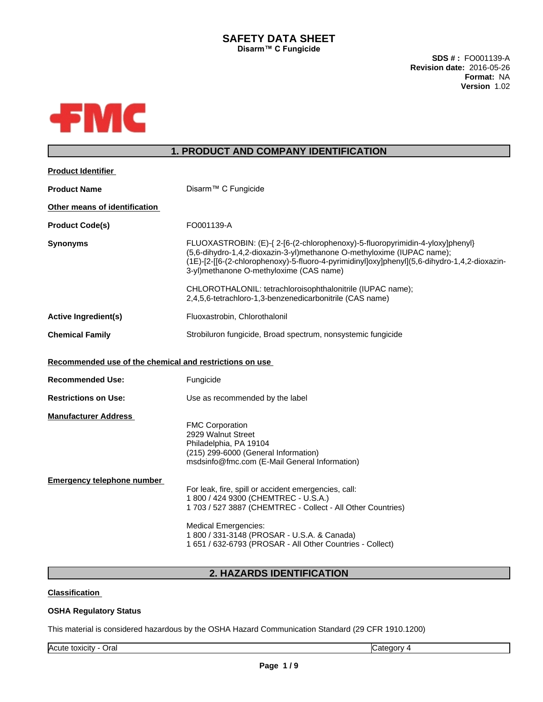## **SAFETY DATA SHEET Disarm™** C Fungicide

**SDS # :** FO001139-A **Revision date:** 2016-05-26 **Format:** NA **Version** 1.02



# **1. PRODUCT AND COMPANY IDENTIFICATION**

| <b>Product Identifier</b>                               |                                                                                                                                                                                                                                                                                                        |
|---------------------------------------------------------|--------------------------------------------------------------------------------------------------------------------------------------------------------------------------------------------------------------------------------------------------------------------------------------------------------|
| <b>Product Name</b>                                     | Disarm <sup>™</sup> C Fungicide                                                                                                                                                                                                                                                                        |
| Other means of identification                           |                                                                                                                                                                                                                                                                                                        |
| <b>Product Code(s)</b>                                  | FO001139-A                                                                                                                                                                                                                                                                                             |
| <b>Synonyms</b>                                         | FLUOXASTROBIN: (E)-{ 2-[6-(2-chlorophenoxy)-5-fluoropyrimidin-4-yloxy]phenyl}<br>(5,6-dihydro-1,4,2-dioxazin-3-yl)methanone O-methyloxime (IUPAC name);<br>(1E)-[2-[[6-(2-chlorophenoxy)-5-fluoro-4-pyrimidinyl]oxy]phenyl](5,6-dihydro-1,4,2-dioxazin-<br>3-yl)methanone O-methyloxime (CAS name)     |
|                                                         | CHLOROTHALONIL: tetrachloroisophthalonitrile (IUPAC name);<br>2,4,5,6-tetrachloro-1,3-benzenedicarbonitrile (CAS name)                                                                                                                                                                                 |
| <b>Active Ingredient(s)</b>                             | Fluoxastrobin, Chlorothalonil                                                                                                                                                                                                                                                                          |
| <b>Chemical Family</b>                                  | Strobiluron fungicide, Broad spectrum, nonsystemic fungicide                                                                                                                                                                                                                                           |
| Recommended use of the chemical and restrictions on use |                                                                                                                                                                                                                                                                                                        |
| <b>Recommended Use:</b>                                 | Fungicide                                                                                                                                                                                                                                                                                              |
| <b>Restrictions on Use:</b>                             | Use as recommended by the label                                                                                                                                                                                                                                                                        |
| <b>Manufacturer Address</b>                             | <b>FMC Corporation</b><br>2929 Walnut Street<br>Philadelphia, PA 19104<br>(215) 299-6000 (General Information)<br>msdsinfo@fmc.com (E-Mail General Information)                                                                                                                                        |
| <b>Emergency telephone number</b>                       | For leak, fire, spill or accident emergencies, call:<br>1 800 / 424 9300 (CHEMTREC - U.S.A.)<br>1 703 / 527 3887 (CHEMTREC - Collect - All Other Countries)<br><b>Medical Emergencies:</b><br>1 800 / 331-3148 (PROSAR - U.S.A. & Canada)<br>1 651 / 632-6793 (PROSAR - All Other Countries - Collect) |
|                                                         |                                                                                                                                                                                                                                                                                                        |

# **2. HAZARDS IDENTIFICATION**

## **Classification**

## **OSHA Regulatory Status**

This material is considered hazardous by the OSHA Hazard Communication Standard (29 CFR 1910.1200)

Acute toxicity - Oral Category 4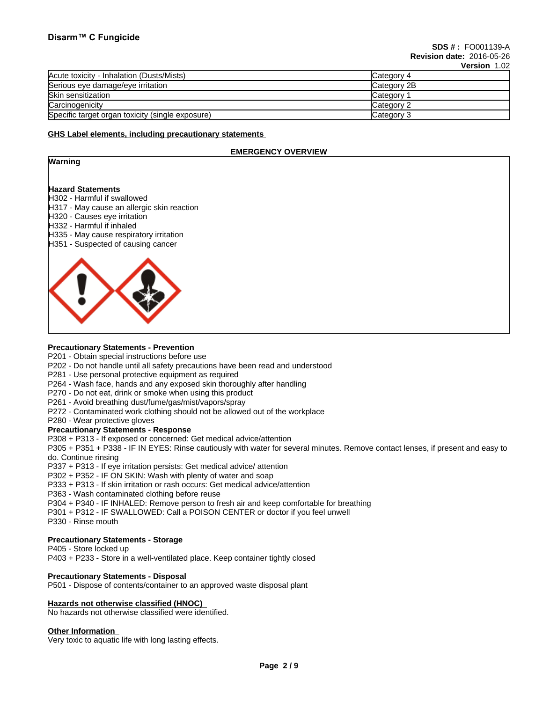| Acute toxicity - Inhalation (Dusts/Mists)        | Category 4  |
|--------------------------------------------------|-------------|
| Serious eye damage/eye irritation                | Category 2B |
| Skin sensitization                               | Category    |
| Carcinogenicity                                  | Category 2  |
| Specific target organ toxicity (single exposure) | Category 3  |

#### **GHS Label elements, including precautionary statements**

## **EMERGENCY OVERVIEW**

## **Warning**

#### **Hazard Statements**

- H302 Harmful if swallowed
- H317 May cause an allergic skin reaction
- H320 Causes eye irritation
- H332 Harmful if inhaled
- H335 May cause respiratory irritation
- H351 Suspected of causing cancer



#### **Precautionary Statements - Prevention**

- P201 Obtain special instructions before use
- P202 Do not handle until all safety precautions have been read and understood
- P281 Use personal protective equipment as required
- P264 Wash face, hands and any exposed skin thoroughly after handling
- P270 Do not eat, drink or smoke when using this product
- P261 Avoid breathing dust/fume/gas/mist/vapors/spray
- P272 Contaminated work clothing should not be allowed out of the workplace
- P280 Wear protective gloves

#### **Precautionary Statements - Response**

P308 + P313 - If exposed or concerned: Get medical advice/attention

P305 + P351 + P338 - IF IN EYES: Rinse cautiously with water forseveral minutes. Remove contact lenses, if present and easy to do. Continue rinsing

P337 + P313 - If eye irritation persists: Get medical advice/ attention

P302 + P352 - IF ON SKIN: Wash with plenty of water and soap

P333 + P313 - If skin irritation or rash occurs: Get medical advice/attention

- P363 Wash contaminated clothing before reuse
- P304 + P340 IF INHALED: Remove person to fresh air and keep comfortable for breathing
- P301 + P312 IF SWALLOWED: Call a POISON CENTER or doctor if you feel unwell

P330 - Rinse mouth

## **Precautionary Statements - Storage**

P405 - Store locked up

P403 + P233 - Store in a well-ventilated place. Keep container tightly closed

## **Precautionary Statements - Disposal**

P501 - Dispose of contents/container to an approved waste disposal plant

## **Hazards not otherwise classified (HNOC)**

No hazards not otherwise classified were identified.

#### **Other Information**

Very toxic to aquatic life with long lasting effects.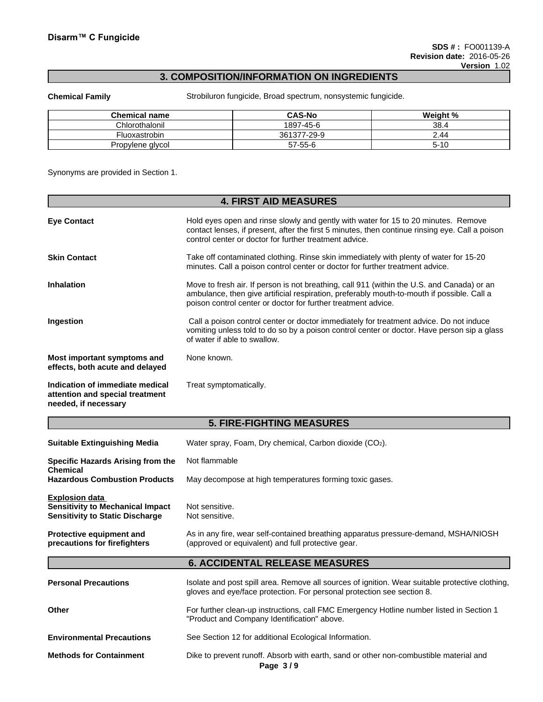# **3. COMPOSITION/INFORMATION ON INGREDIENTS**

**Chemical Family** Strobiluron fungicide, Broad spectrum, nonsystemic fungicide.

| <b>Chemical name</b> | <b>CAS-No</b> | Weight % |
|----------------------|---------------|----------|
| Chlorothalonil       | 1897-45-6     | 38.4     |
| Fluoxastrobin        | 361377-29-9   | 2.44     |
| Propylene glycol     | 57-55-6       | 5-10     |

Synonyms are provided in Section 1.

|                                                                                            | <b>4. FIRST AID MEASURES</b>                                                                                                                                                                                                                              |
|--------------------------------------------------------------------------------------------|-----------------------------------------------------------------------------------------------------------------------------------------------------------------------------------------------------------------------------------------------------------|
| <b>Eye Contact</b>                                                                         | Hold eyes open and rinse slowly and gently with water for 15 to 20 minutes. Remove<br>contact lenses, if present, after the first 5 minutes, then continue rinsing eye. Call a poison<br>control center or doctor for further treatment advice.           |
| <b>Skin Contact</b>                                                                        | Take off contaminated clothing. Rinse skin immediately with plenty of water for 15-20<br>minutes. Call a poison control center or doctor for further treatment advice.                                                                                    |
| <b>Inhalation</b>                                                                          | Move to fresh air. If person is not breathing, call 911 (within the U.S. and Canada) or an<br>ambulance, then give artificial respiration, preferably mouth-to-mouth if possible. Call a<br>poison control center or doctor for further treatment advice. |
| Ingestion                                                                                  | Call a poison control center or doctor immediately for treatment advice. Do not induce<br>vomiting unless told to do so by a poison control center or doctor. Have person sip a glass<br>of water if able to swallow.                                     |
| Most important symptoms and<br>effects, both acute and delayed                             | None known.                                                                                                                                                                                                                                               |
| Indication of immediate medical<br>attention and special treatment<br>needed, if necessary | Treat symptomatically.                                                                                                                                                                                                                                    |

## **5. FIRE-FIGHTING MEASURES**

| <b>Suitable Extinguishing Media</b>                                                                        | Water spray, Foam, Dry chemical, Carbon dioxide (CO2).                                                                                                                    |
|------------------------------------------------------------------------------------------------------------|---------------------------------------------------------------------------------------------------------------------------------------------------------------------------|
| Specific Hazards Arising from the                                                                          | Not flammable                                                                                                                                                             |
| <b>Chemical</b><br><b>Hazardous Combustion Products</b>                                                    | May decompose at high temperatures forming toxic gases.                                                                                                                   |
| <b>Explosion data</b><br><b>Sensitivity to Mechanical Impact</b><br><b>Sensitivity to Static Discharge</b> | Not sensitive.<br>Not sensitive.                                                                                                                                          |
| Protective equipment and<br>precautions for firefighters                                                   | As in any fire, wear self-contained breathing apparatus pressure-demand, MSHA/NIOSH<br>(approved or equivalent) and full protective gear.                                 |
|                                                                                                            | <b>6. ACCIDENTAL RELEASE MEASURES</b>                                                                                                                                     |
| <b>Personal Precautions</b>                                                                                | Isolate and post spill area. Remove all sources of ignition. Wear suitable protective clothing,<br>gloves and eye/face protection. For personal protection see section 8. |
| Other                                                                                                      | For further clean-up instructions, call FMC Emergency Hotline number listed in Section 1<br>"Product and Company Identification" above.                                   |
| <b>Environmental Precautions</b>                                                                           | See Section 12 for additional Ecological Information.                                                                                                                     |
| <b>Methods for Containment</b>                                                                             | Dike to prevent runoff. Absorb with earth, sand or other non-combustible material and                                                                                     |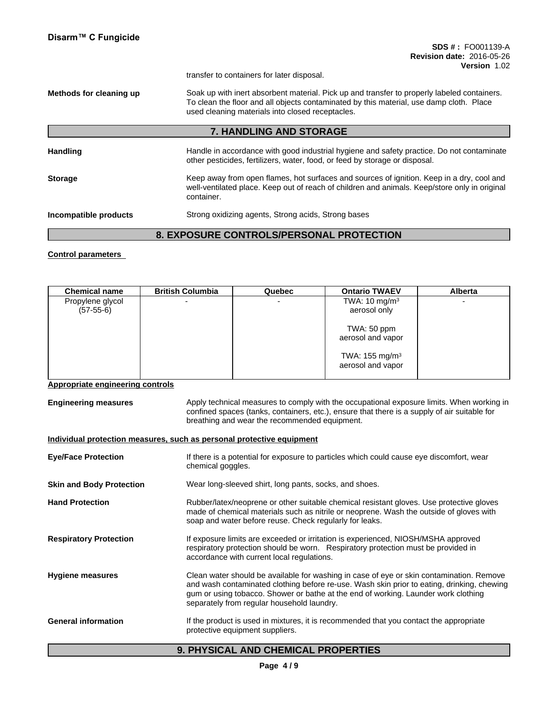transfer to containers for later disposal.

**Methods for cleaning up** Soak up with inert absorbent material. Pick up and transfer to properly labeled containers. To clean the floor and all objects contaminated by this material, use damp cloth. Place used cleaning materials into closed receptacles.

## **7. HANDLING AND STORAGE**

Handling **Handle in accordance with good industrial hygiene and safety practice. Do not contaminate** other pesticides, fertilizers, water, food, or feed by storage or disposal. **Storage** Keep away from open flames, hot surfaces and sources of ignition. Keep in a dry, cool and well-ventilated place. Keep out of reach of children and animals. Keep/store only in original container. **Incompatible products** Strong oxidizing agents, Strong acids, Strong bases

# **8. EXPOSURE CONTROLS/PERSONAL PROTECTION**

## **Control parameters**

| <b>Chemical name</b>            | <b>British Columbia</b> | Quebec | <b>Ontario TWAEV</b>                           | <b>Alberta</b> |
|---------------------------------|-------------------------|--------|------------------------------------------------|----------------|
| Propylene glycol<br>$(57-55-6)$ |                         |        | TWA: $10 \text{ mg/m}^3$<br>aerosol only       |                |
|                                 |                         |        | TWA: 50 ppm<br>aerosol and vapor               |                |
|                                 |                         |        | TWA: $155 \text{ mg/m}^3$<br>aerosol and vapor |                |

## **Appropriate engineering controls**

| <b>Engineering measures</b> | Apply technical measures to comply with the occupational exposure limits. When working in    |
|-----------------------------|----------------------------------------------------------------------------------------------|
|                             | confined spaces (tanks, containers, etc.), ensure that there is a supply of air suitable for |
|                             | breathing and wear the recommended equipment.                                                |

#### **Individual protection measures, such as personal protective equipment**

| <b>Eye/Face Protection</b>      | If there is a potential for exposure to particles which could cause eye discomfort, wear<br>chemical goggles.                                                                                                                                                                                                              |
|---------------------------------|----------------------------------------------------------------------------------------------------------------------------------------------------------------------------------------------------------------------------------------------------------------------------------------------------------------------------|
| <b>Skin and Body Protection</b> | Wear long-sleeved shirt, long pants, socks, and shoes.                                                                                                                                                                                                                                                                     |
| <b>Hand Protection</b>          | Rubber/latex/neoprene or other suitable chemical resistant gloves. Use protective gloves<br>made of chemical materials such as nitrile or neoprene. Wash the outside of gloves with<br>soap and water before reuse. Check regularly for leaks.                                                                             |
| <b>Respiratory Protection</b>   | If exposure limits are exceeded or irritation is experienced, NIOSH/MSHA approved<br>respiratory protection should be worn. Respiratory protection must be provided in<br>accordance with current local regulations.                                                                                                       |
| <b>Hygiene measures</b>         | Clean water should be available for washing in case of eye or skin contamination. Remove<br>and wash contaminated clothing before re-use. Wash skin prior to eating, drinking, chewing<br>gum or using tobacco. Shower or bathe at the end of working. Launder work clothing<br>separately from regular household laundry. |
| <b>General information</b>      | If the product is used in mixtures, it is recommended that you contact the appropriate<br>protective equipment suppliers.                                                                                                                                                                                                  |

## **9. PHYSICAL AND CHEMICAL PROPERTIES**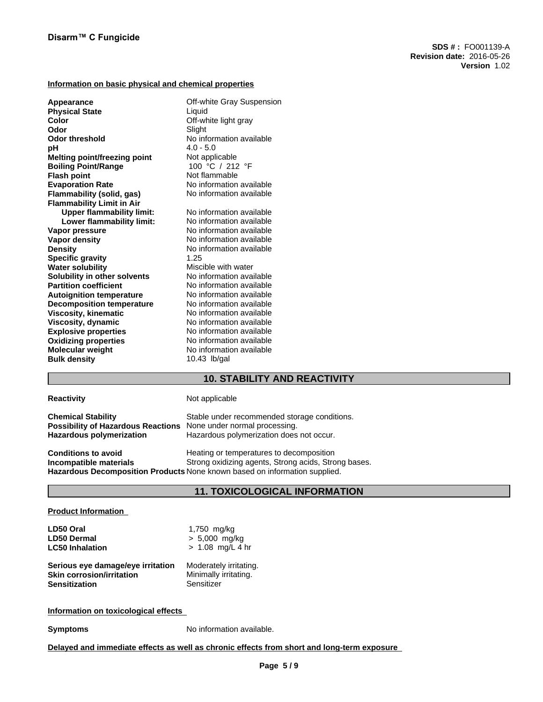## **Information on basic physical and chemical properties**

| Appearance                          | Off-white Gray Suspension |
|-------------------------------------|---------------------------|
| <b>Physical State</b>               | Liquid                    |
| Color                               | Off-white light gray      |
| Odor                                | Slight                    |
| <b>Odor threshold</b>               | No information available  |
| рH                                  | $4.0 - 5.0$               |
| <b>Melting point/freezing point</b> | Not applicable            |
| <b>Boiling Point/Range</b>          | 100 °C / 212 °F           |
| <b>Flash point</b>                  | Not flammable             |
| <b>Evaporation Rate</b>             | No information available  |
| Flammability (solid, gas)           | No information available  |
| <b>Flammability Limit in Air</b>    |                           |
| <b>Upper flammability limit:</b>    | No information available  |
| Lower flammability limit:           | No information available  |
| Vapor pressure                      | No information available  |
| <b>Vapor density</b>                | No information available  |
| <b>Density</b>                      | No information available  |
| <b>Specific gravity</b>             | 1.25                      |
| <b>Water solubility</b>             | Miscible with water       |
| Solubility in other solvents        | No information available  |
| <b>Partition coefficient</b>        | No information available  |
| <b>Autoignition temperature</b>     | No information available  |
| <b>Decomposition temperature</b>    | No information available  |
| <b>Viscosity, kinematic</b>         | No information available  |
| Viscosity, dynamic                  | No information available  |
| <b>Explosive properties</b>         | No information available  |
| <b>Oxidizing properties</b>         | No information available  |
| <b>Molecular weight</b>             | No information available  |
| <b>Bulk density</b>                 | 10.43 lb/gal              |
|                                     |                           |

# **10. STABILITY AND REACTIVITY**

## **Reactivity Not applicable**

| <b>Chemical Stability</b>                 | Stable under recommended storage conditions.                               |
|-------------------------------------------|----------------------------------------------------------------------------|
| <b>Possibility of Hazardous Reactions</b> | None under normal processing.                                              |
| <b>Hazardous polymerization</b>           | Hazardous polymerization does not occur.                                   |
| <b>Conditions to avoid</b>                | Heating or temperatures to decomposition                                   |
| Incompatible materials                    | Strong oxidizing agents, Strong acids, Strong bases.                       |
|                                           | Hazardous Decomposition Products None known based on information supplied. |

## **11. TOXICOLOGICAL INFORMATION**

## **Product Information**

| LD50 Oral                         | 1,750 mg/kg            |
|-----------------------------------|------------------------|
| <b>LD50 Dermal</b>                | $> 5,000$ mg/kg        |
| <b>LC50 Inhalation</b>            | $> 1.08$ mg/L 4 hr     |
| Serious eye damage/eye irritation | Moderately irritating. |
| <b>Skin corrosion/irritation</b>  | Minimally irritating.  |
| <b>Sensitization</b>              | Sensitizer             |

## **Information on toxicological effects**

**Symptoms** No information available.

**Delayed and immediate effects as well as chronic effects from short and long-term exposure**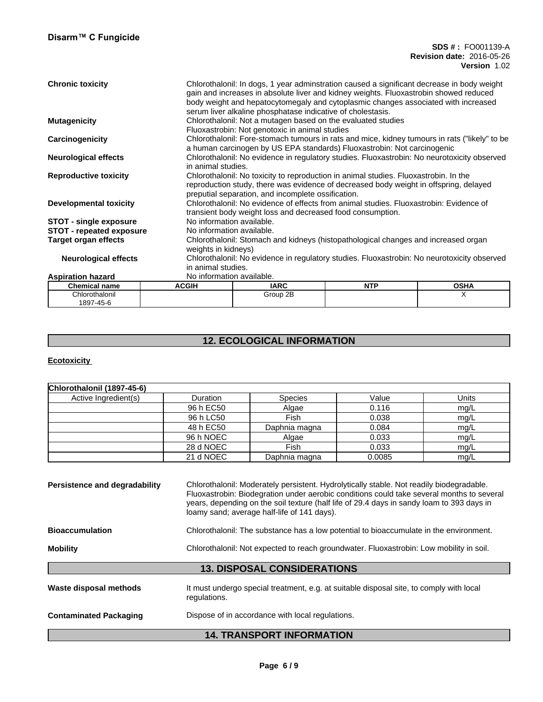#### **SDS # :** FO001139-A **Revision date:** 2016-05-26 **Version** 1.02

| <b>Chronic toxicity</b>         |                           | Chlorothalonil: In dogs, 1 year adminstration caused a significant decrease in body weight<br>gain and increases in absolute liver and kidney weights. Fluoxastrobin showed reduced<br>body weight and hepatocytomegaly and cytoplasmic changes associated with increased<br>serum liver alkaline phosphatase indicative of cholestasis. |            |                                                                                               |  |  |  |
|---------------------------------|---------------------------|------------------------------------------------------------------------------------------------------------------------------------------------------------------------------------------------------------------------------------------------------------------------------------------------------------------------------------------|------------|-----------------------------------------------------------------------------------------------|--|--|--|
| <b>Mutagenicity</b>             |                           | Chlorothalonil: Not a mutagen based on the evaluated studies                                                                                                                                                                                                                                                                             |            |                                                                                               |  |  |  |
|                                 |                           | Fluoxastrobin: Not genotoxic in animal studies                                                                                                                                                                                                                                                                                           |            |                                                                                               |  |  |  |
| Carcinogenicity                 |                           |                                                                                                                                                                                                                                                                                                                                          |            | Chlorothalonil: Fore-stomach tumours in rats and mice, kidney tumours in rats ("likely" to be |  |  |  |
|                                 |                           | a human carcinogen by US EPA standards) Fluoxastrobin: Not carcinogenic                                                                                                                                                                                                                                                                  |            |                                                                                               |  |  |  |
|                                 |                           |                                                                                                                                                                                                                                                                                                                                          |            |                                                                                               |  |  |  |
| <b>Neurological effects</b>     |                           | Chlorothalonil: No evidence in regulatory studies. Fluoxastrobin: No neurotoxicity observed<br>in animal studies.                                                                                                                                                                                                                        |            |                                                                                               |  |  |  |
| <b>Reproductive toxicity</b>    |                           | Chlorothalonil: No toxicity to reproduction in animal studies. Fluoxastrobin. In the                                                                                                                                                                                                                                                     |            |                                                                                               |  |  |  |
|                                 |                           | reproduction study, there was evidence of decreased body weight in offspring, delayed                                                                                                                                                                                                                                                    |            |                                                                                               |  |  |  |
|                                 |                           | preputial separation, and incomplete ossification.                                                                                                                                                                                                                                                                                       |            |                                                                                               |  |  |  |
| <b>Developmental toxicity</b>   |                           | Chlorothalonil: No evidence of effects from animal studies. Fluoxastrobin: Evidence of                                                                                                                                                                                                                                                   |            |                                                                                               |  |  |  |
|                                 |                           | transient body weight loss and decreased food consumption.                                                                                                                                                                                                                                                                               |            |                                                                                               |  |  |  |
| <b>STOT - single exposure</b>   | No information available. |                                                                                                                                                                                                                                                                                                                                          |            |                                                                                               |  |  |  |
| <b>STOT - repeated exposure</b> | No information available. |                                                                                                                                                                                                                                                                                                                                          |            |                                                                                               |  |  |  |
| <b>Target organ effects</b>     |                           | Chlorothalonil: Stomach and kidneys (histopathological changes and increased organ                                                                                                                                                                                                                                                       |            |                                                                                               |  |  |  |
|                                 | weights in kidneys)       |                                                                                                                                                                                                                                                                                                                                          |            |                                                                                               |  |  |  |
| <b>Neurological effects</b>     |                           | Chlorothalonil: No evidence in regulatory studies. Fluoxastrobin: No neurotoxicity observed                                                                                                                                                                                                                                              |            |                                                                                               |  |  |  |
|                                 |                           | in animal studies.                                                                                                                                                                                                                                                                                                                       |            |                                                                                               |  |  |  |
| <b>Aspiration hazard</b>        | No information available. |                                                                                                                                                                                                                                                                                                                                          |            |                                                                                               |  |  |  |
|                                 |                           |                                                                                                                                                                                                                                                                                                                                          |            |                                                                                               |  |  |  |
| <b>Chemical name</b>            | <b>ACGIH</b>              | <b>IARC</b>                                                                                                                                                                                                                                                                                                                              | <b>NTP</b> | <b>OSHA</b>                                                                                   |  |  |  |
| Chlorothalonil                  |                           | Group 2B                                                                                                                                                                                                                                                                                                                                 |            | X                                                                                             |  |  |  |
| 1897-45-6                       |                           |                                                                                                                                                                                                                                                                                                                                          |            |                                                                                               |  |  |  |

# **12. ECOLOGICAL INFORMATION**

# **Ecotoxicity**

| Chlorothalonil (1897-45-6)    |                                                                                                                                                                                                                                                                                                                                 |                                    |        |       |  |  |
|-------------------------------|---------------------------------------------------------------------------------------------------------------------------------------------------------------------------------------------------------------------------------------------------------------------------------------------------------------------------------|------------------------------------|--------|-------|--|--|
| Active Ingredient(s)          | Duration                                                                                                                                                                                                                                                                                                                        | <b>Species</b>                     | Value  | Units |  |  |
|                               | 96 h EC50                                                                                                                                                                                                                                                                                                                       | Algae                              | 0.116  | mg/L  |  |  |
|                               | 96 h LC50                                                                                                                                                                                                                                                                                                                       | Fish                               | 0.038  | mg/L  |  |  |
|                               | 48 h EC50                                                                                                                                                                                                                                                                                                                       | Daphnia magna                      | 0.084  | mg/L  |  |  |
|                               | 96 h NOEC                                                                                                                                                                                                                                                                                                                       | Algae                              | 0.033  | mg/L  |  |  |
|                               | 28 d NOEC                                                                                                                                                                                                                                                                                                                       | <b>Fish</b>                        | 0.033  | mg/L  |  |  |
|                               | 21 d NOEC                                                                                                                                                                                                                                                                                                                       | Daphnia magna                      | 0.0085 | mg/L  |  |  |
| <b>Bioaccumulation</b>        | Fluoxastrobin: Biodegration under aerobic conditions could take several months to several<br>years, depending on the soil texture (half life of 29.4 days in sandy loam to 393 days in<br>loamy sand; average half-life of 141 days).<br>Chlorothalonil: The substance has a low potential to bioaccumulate in the environment. |                                    |        |       |  |  |
|                               |                                                                                                                                                                                                                                                                                                                                 |                                    |        |       |  |  |
| <b>Mobility</b>               | Chlorothalonil: Not expected to reach groundwater. Fluoxastrobin: Low mobility in soil.                                                                                                                                                                                                                                         |                                    |        |       |  |  |
|                               |                                                                                                                                                                                                                                                                                                                                 | <b>13. DISPOSAL CONSIDERATIONS</b> |        |       |  |  |
| Waste disposal methods        | It must undergo special treatment, e.g. at suitable disposal site, to comply with local<br>regulations.                                                                                                                                                                                                                         |                                    |        |       |  |  |
| <b>Contaminated Packaging</b> | Dispose of in accordance with local regulations.                                                                                                                                                                                                                                                                                |                                    |        |       |  |  |
|                               |                                                                                                                                                                                                                                                                                                                                 | <b>14. TRANSPORT INFORMATION</b>   |        |       |  |  |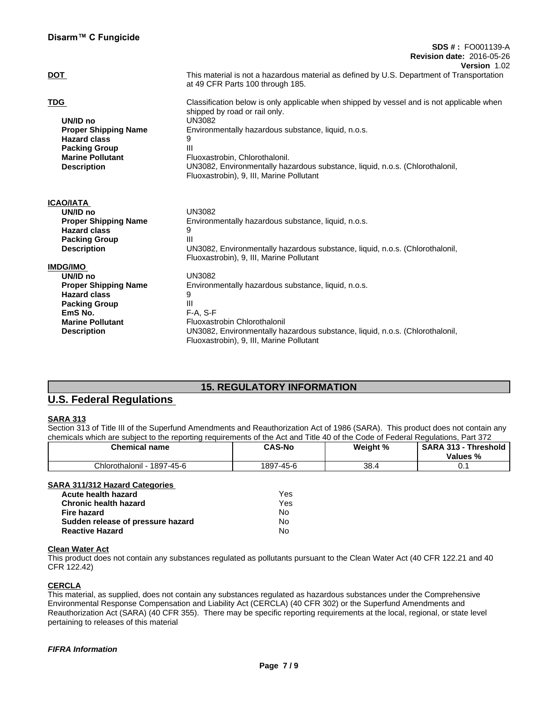| Disarm™ C Fungicide                                                                                                                                   |                                                                                                                                                                                                                                                                                                                                                                            |
|-------------------------------------------------------------------------------------------------------------------------------------------------------|----------------------------------------------------------------------------------------------------------------------------------------------------------------------------------------------------------------------------------------------------------------------------------------------------------------------------------------------------------------------------|
|                                                                                                                                                       | <b>SDS #: FO001139-A</b><br><b>Revision date: 2016-05-26</b><br>Version 1.02                                                                                                                                                                                                                                                                                               |
| <b>DOT</b>                                                                                                                                            | This material is not a hazardous material as defined by U.S. Department of Transportation<br>at 49 CFR Parts 100 through 185.                                                                                                                                                                                                                                              |
| <b>TDG</b><br>UN/ID no<br><b>Proper Shipping Name</b><br><b>Hazard class</b><br><b>Packing Group</b><br><b>Marine Pollutant</b><br><b>Description</b> | Classification below is only applicable when shipped by vessel and is not applicable when<br>shipped by road or rail only.<br><b>UN3082</b><br>Environmentally hazardous substance, liquid, n.o.s.<br>9<br>Ш<br>Fluoxastrobin, Chlorothalonil.<br>UN3082, Environmentally hazardous substance, liquid, n.o.s. (Chlorothalonil,<br>Fluoxastrobin), 9, III, Marine Pollutant |
| <b>ICAO/IATA</b>                                                                                                                                      |                                                                                                                                                                                                                                                                                                                                                                            |
| UN/ID no                                                                                                                                              | <b>UN3082</b>                                                                                                                                                                                                                                                                                                                                                              |
| <b>Proper Shipping Name</b>                                                                                                                           | Environmentally hazardous substance, liquid, n.o.s.                                                                                                                                                                                                                                                                                                                        |
| <b>Hazard class</b>                                                                                                                                   | 9                                                                                                                                                                                                                                                                                                                                                                          |
| <b>Packing Group</b><br><b>Description</b>                                                                                                            | Ш<br>UN3082, Environmentally hazardous substance, liquid, n.o.s. (Chlorothalonil,<br>Fluoxastrobin), 9, III, Marine Pollutant                                                                                                                                                                                                                                              |
| <b>IMDG/IMO</b>                                                                                                                                       |                                                                                                                                                                                                                                                                                                                                                                            |
| UN/ID no                                                                                                                                              | <b>UN3082</b>                                                                                                                                                                                                                                                                                                                                                              |
| <b>Proper Shipping Name</b><br><b>Hazard class</b>                                                                                                    | Environmentally hazardous substance, liquid, n.o.s.<br>9                                                                                                                                                                                                                                                                                                                   |
| <b>Packing Group</b>                                                                                                                                  | Ш                                                                                                                                                                                                                                                                                                                                                                          |
| EmS No.                                                                                                                                               | $F-A. S-F$                                                                                                                                                                                                                                                                                                                                                                 |
| <b>Marine Pollutant</b>                                                                                                                               | Fluoxastrobin Chlorothalonil                                                                                                                                                                                                                                                                                                                                               |
| <b>Description</b>                                                                                                                                    | UN3082, Environmentally hazardous substance, liquid, n.o.s. (Chlorothalonil,<br>Fluoxastrobin), 9, III, Marine Pollutant                                                                                                                                                                                                                                                   |

# **15. REGULATORY INFORMATION**

# **U.S. Federal Regulations**

## **SARA 313**

Section 313 of Title III of the Superfund Amendments and Reauthorization Act of 1986 (SARA). This product does not contain any chemicals which are subject to the reporting requirements of the Act and Title 40 of the Code of Federal Regulations, Part 372

| <b>Chemical name</b>       | <b>CAS-No</b> | Weight % | SARA 313 - Threshold  <br>Values % |
|----------------------------|---------------|----------|------------------------------------|
| Chlorothalonil - 1897-45-6 | 1897-45-6     | 38.4     |                                    |

# **Acute health hazard** Yes

| Avult Houlli Hurui d              | .   |  |
|-----------------------------------|-----|--|
| Chronic health hazard             | Yes |  |
| Fire hazard                       | N٥  |  |
| Sudden release of pressure hazard | N٥  |  |
| <b>Reactive Hazard</b>            | N٥  |  |

## **Clean Water Act**

This product does not contain any substances regulated as pollutants pursuant to the Clean Water Act (40 CFR 122.21 and 40 CFR 122.42)

## **CERCLA**

This material, as supplied, does not contain any substances regulated as hazardous substances under the Comprehensive Environmental Response Compensation and Liability Act (CERCLA) (40 CFR 302) or the Superfund Amendments and Reauthorization Act (SARA) (40 CFR 355). There may be specific reporting requirements at the local, regional, or state level pertaining to releases of this material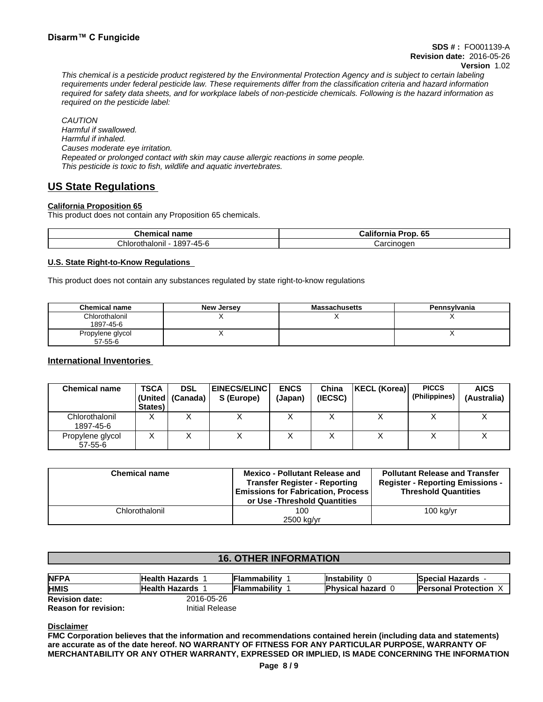This chemical is a pesticide product registered by the Environmental Protection Agency and is subject to certain labeling requirements under federal pesticide law. These requirements differ from the classification criteria and hazard information required for safety data sheets, and for workplace labels of non-pesticide chemicals. Following is the hazard information as *required on the pesticide label:*

*CAUTION Harmful if swallowed. Harmful if inhaled. Causes moderate eye irritation. Repeated or prolonged contact with skin may cause allergic reactions in some people. This pesticide is toxic to fish, wildlife and aquatic invertebrates.*

# **US State Regulations**

## **California Proposition 65**

This product does not contain any Proposition 65 chemicals.

| Chemical<br>name                                            | <br>65<br>Prop<br>California |
|-------------------------------------------------------------|------------------------------|
| <br>$\overline{\phantom{0}}$<br>1897-45-6<br>Chlorothalonil | Carcinogen                   |

## **U.S. State Right-to-Know Regulations**

This product does not contain any substances regulated by state right-to-know regulations

| <b>Chemical name</b>              | <b>New Jersey</b> | <b>Massachusetts</b> | Pennsylvania |
|-----------------------------------|-------------------|----------------------|--------------|
| Chlorothalonil<br>1897-45-6       |                   |                      |              |
| Propylene glycol<br>$57 - 55 - 6$ |                   |                      | ,,           |

## **International Inventories**

| <b>Chemical name</b>              | <b>TSCA</b><br>States) | <b>DSL</b><br>  (United   (Canada) | <b>EINECS/ELINC</b><br>S (Europe) | <b>ENCS</b><br>(Japan) | China<br>(IECSC) | KECL (Korea) | <b>PICCS</b><br>(Philippines) | <b>AICS</b><br>(Australia) |
|-----------------------------------|------------------------|------------------------------------|-----------------------------------|------------------------|------------------|--------------|-------------------------------|----------------------------|
| Chlorothalonil<br>1897-45-6       | ∧                      |                                    | ↗                                 |                        |                  |              |                               |                            |
| Propylene glycol<br>$57 - 55 - 6$ | Λ                      |                                    | ↗                                 |                        |                  |              |                               |                            |

| <b>Chemical name</b> | <b>Mexico - Pollutant Release and</b><br><b>Transfer Register - Reporting</b><br><b>Emissions for Fabrication, Process</b><br>or Use -Threshold Quantities | <b>Pollutant Release and Transfer</b><br><b>Register - Reporting Emissions -</b><br><b>Threshold Quantities</b> |
|----------------------|------------------------------------------------------------------------------------------------------------------------------------------------------------|-----------------------------------------------------------------------------------------------------------------|
| Chlorothalonil       | 100                                                                                                                                                        | $100$ kg/yr                                                                                                     |
|                      | 2500 kg/yr                                                                                                                                                 |                                                                                                                 |

## **16. OTHER INFORMATION**

| <b>NFPA</b>                 | <b>Health Hazards</b> | <b>Flammability</b> | <b>Instability</b>       | <b>Special Hazards</b>       |  |  |
|-----------------------------|-----------------------|---------------------|--------------------------|------------------------------|--|--|
| <b>HMIS</b>                 | <b>Health Hazards</b> | Flammability        | <b>Physical hazard 0</b> | <b>Personal Protection X</b> |  |  |
| <b>Revision date:</b>       | 2016-05-26            |                     |                          |                              |  |  |
| <b>Reason for revision:</b> | Initial Release       |                     |                          |                              |  |  |

**Disclaimer**

**FMC Corporation believes that the information and recommendations contained herein (including data and statements) are accurate as of the date hereof. NO WARRANTY OF FITNESS FOR ANY PARTICULAR PURPOSE, WARRANTY OF MERCHANTABILITY OR ANY OTHER WARRANTY, EXPRESSED OR IMPLIED, IS MADE CONCERNING THE INFORMATION**